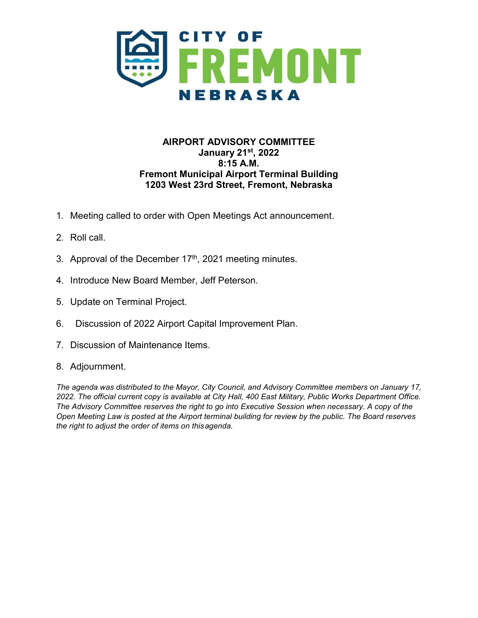

## **AIRPORT ADVISORY COMMITTEE January 21st, 2022 8:15 A.M. Fremont Municipal Airport Terminal Building 1203 West 23rd Street, Fremont, Nebraska**

- 1. Meeting called to order with Open Meetings Act announcement.
- 2. Roll call.
- 3. Approval of the December 17<sup>th</sup>, 2021 meeting minutes.
- 4. Introduce New Board Member, Jeff Peterson.
- 5. Update on Terminal Project.
- 6. Discussion of 2022 Airport Capital Improvement Plan.
- 7. Discussion of Maintenance Items.
- 8. Adjournment.

*The agenda was distributed to the Mayor, City Council, and Advisory Committee members on January 17, 2022. The official current copy is available at City Hall, 400 East Military, Public Works Department Office. The Advisory Committee reserves the right to go into Executive Session when necessary. A copy of the Open Meeting Law is posted at the Airport terminal building for review by the public. The Board reserves the right to adjust the order of items on thisagenda.*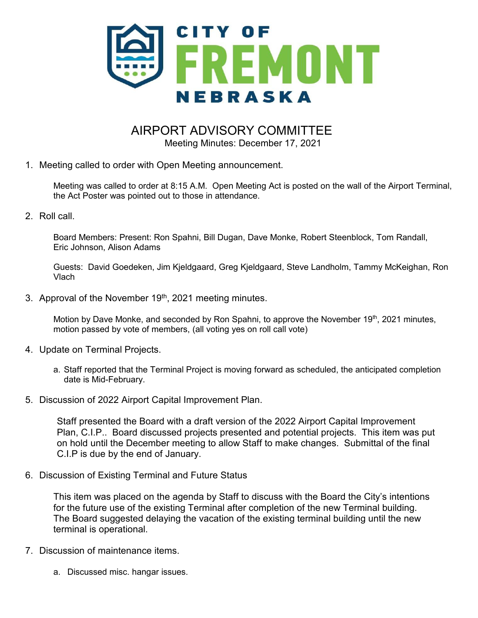

## AIRPORT ADVISORY COMMITTEE

Meeting Minutes: December 17, 2021

1. Meeting called to order with Open Meeting announcement.

Meeting was called to order at 8:15 A.M. Open Meeting Act is posted on the wall of the Airport Terminal, the Act Poster was pointed out to those in attendance.

2. Roll call.

Board Members: Present: Ron Spahni, Bill Dugan, Dave Monke, Robert Steenblock, Tom Randall, Eric Johnson, Alison Adams

Guests: David Goedeken, Jim Kjeldgaard, Greg Kjeldgaard, Steve Landholm, Tammy McKeighan, Ron Vlach

3. Approval of the November 19<sup>th</sup>, 2021 meeting minutes.

Motion by Dave Monke, and seconded by Ron Spahni, to approve the November 19th, 2021 minutes, motion passed by vote of members, (all voting yes on roll call vote)

- 4. Update on Terminal Projects.
	- a. Staff reported that the Terminal Project is moving forward as scheduled, the anticipated completion date is Mid-February.
- 5. Discussion of 2022 Airport Capital Improvement Plan.

Staff presented the Board with a draft version of the 2022 Airport Capital Improvement Plan, C.I.P.. Board discussed projects presented and potential projects. This item was put on hold until the December meeting to allow Staff to make changes. Submittal of the final C.I.P is due by the end of January.

6. Discussion of Existing Terminal and Future Status

This item was placed on the agenda by Staff to discuss with the Board the City's intentions for the future use of the existing Terminal after completion of the new Terminal building. The Board suggested delaying the vacation of the existing terminal building until the new terminal is operational.

- 7. Discussion of maintenance items.
	- a. Discussed misc. hangar issues.